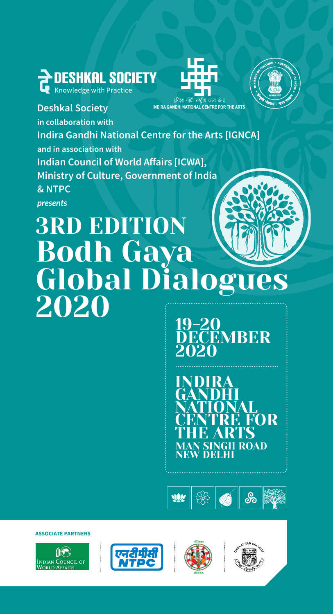





**Deshkal Society** INDIRA GANDHI NATIONAL CENTRE FOR THE ARTS **in collaboration with Indira Gandhi National Centre for the Arts [IGNCA] and in association with Indian Council of World Affairs [ICWA], Ministry of Culture, Government of India & NTPC** *presents*

# 3RD EDITION Bodh Gaya Global Dialogues 2020

19-20 **DECEMBER** 2020

**H** ROAD N SIN<br>V DEI INDIRA GANDHI NATIONAL CENTRE FOR THE ARTS



**ASSOCIATE PARTNERS**







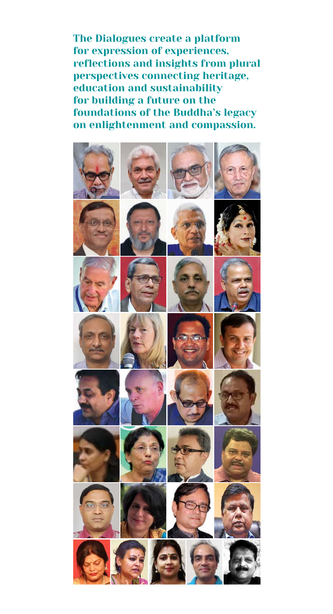The Dialogues create a platform for expression of experiences, reflections and insights from plural perspectives connecting heritage, education and sustainability for building a future on the foundations of the Buddha's legacy on enlightenment and compassion.

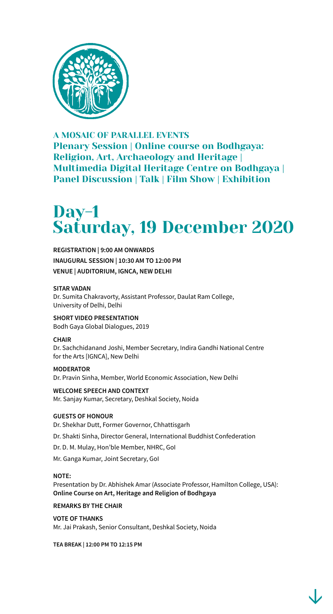

A MOSAIC OF PARALLEL EVENTS Plenary Session | Online course on Bodhgaya: Religion, Art, Archaeology and Heritage | Multimedia Digital Heritage Centre on Bodhgaya | Panel Discussion | Talk | Film Show | Exhibition

# Day-1 Saturday, 19 December 2020

**REGISTRATION | 9:00 AM ONWARDS INAUGURAL SESSION | 10:30 AM TO 12:00 PM VENUE | AUDITORIUM, IGNCA, NEW DELHI**

### **SITAR VADAN**

Dr. Sumita Chakravorty, Assistant Professor, Daulat Ram College, University of Delhi, Delhi

**SHORT VIDEO PRESENTATION** Bodh Gaya Global Dialogues, 2019

### **CHAIR**

Dr. Sachchidanand Joshi, Member Secretary, Indira Gandhi National Centre for the Arts [IGNCA], New Delhi

**MODERATOR** Dr. Pravin Sinha, Member, World Economic Association, New Delhi

**WELCOME SPEECH AND CONTEXT** Mr. Sanjay Kumar, Secretary, Deshkal Society, Noida

### **GUESTS OF HONOUR**

Dr. Shekhar Dutt, Former Governor, Chhattisgarh Dr. Shakti Sinha, Director General, International Buddhist Confederation

Dr. D. M. Mulay, Hon'ble Member, NHRC, GoI

Mr. Ganga Kumar, Joint Secretary, GoI

### **NOTE:**

Presentation by Dr. Abhishek Amar (Associate Professor, Hamilton College, USA): **Online Course on Art, Heritage and Religion of Bodhgaya** 

### **REMARKS BY THE CHAIR**

**VOTE OF THANKS** Mr. Jai Prakash, Senior Consultant, Deshkal Society, Noida

**TEA BREAK | 12:00 PM TO 12:15 PM**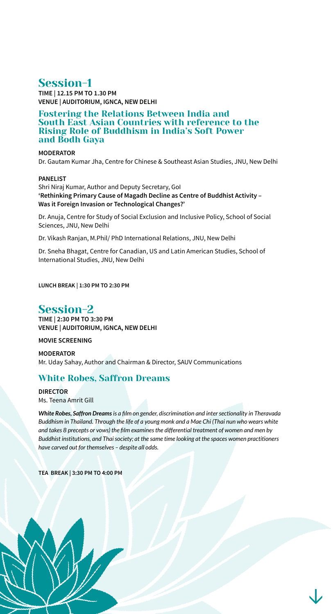## Session-1

**TIME | 12.15 PM TO 1.30 PM VENUE | AUDITORIUM, IGNCA, NEW DELHI**

Fostering the Relations Between India and South East Asian Countries with reference to the Rising Role of Buddhism in India's Soft Power and Bodh Gaya

### **MODERATOR**

Dr. Gautam Kumar Jha, Centre for Chinese & Southeast Asian Studies, JNU, New Delhi

### **PANELIST**

Shri Niraj Kumar, Author and Deputy Secretary, GoI **'Rethinking Primary Cause of Magadh Decline as Centre of Buddhist Activity – Was it Foreign Invasion or Technological Changes?'**

Dr. Anuja, Centre for Study of Social Exclusion and Inclusive Policy, School of Social Sciences, JNU, New Delhi

Dr. Vikash Ranjan, M.Phil/ PhD International Relations, JNU, New Delhi

Dr. Sneha Bhagat, Centre for Canadian, US and Latin American Studies, School of International Studies, JNU, New Delhi

**LUNCH BREAK | 1:30 PM TO 2:30 PM**

### Session-2

**TIME | 2:30 PM TO 3:30 PM VENUE | AUDITORIUM, IGNCA, NEW DELHI**

**MOVIE SCREENING**

**MODERATOR** Mr. Uday Sahay, Author and Chairman & Director, SAUV Communications

### White Robes, Saffron Dreams

**DIRECTOR** Ms. Teena Amrit Gill

*White Robes, Saffron Dreams is a film on gender, discrimination and inter sectionality in Theravada Buddhism in Thailand. Through the life of a young monk and a Mae Chi (Thai nun who wears white and takes 8 precepts or vows) the film examines the differential treatment of women and men by Buddhist institutions, and Thai society; at the same time looking at the spaces women practitioners have carved out for themselves – despite all odds.* 

**TEA BREAK | 3:30 PM TO 4:00 PM**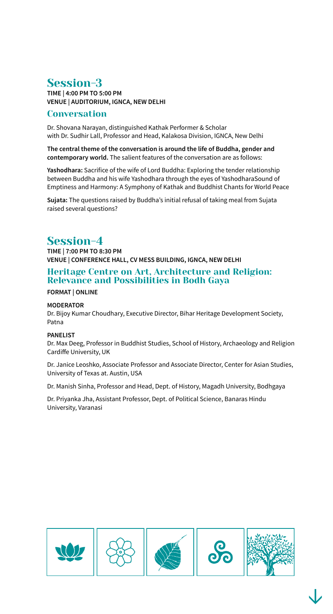# Session-3

**TIME | 4:00 PM TO 5:00 PM VENUE | AUDITORIUM, IGNCA, NEW DELHI**

### Conversation

Dr. Shovana Narayan, distinguished Kathak Performer & Scholar with Dr. Sudhir Lall, Professor and Head, Kalakosa Division, IGNCA, New Delhi

**The central theme of the conversation is around the life of Buddha, gender and contemporary world.** The salient features of the conversation are as follows:

**Yashodhara:** Sacrifice of the wife of Lord Buddha: Exploring the tender relationship between Buddha and his wife Yashodhara through the eyes of YashodharaSound of Emptiness and Harmony: A Symphony of Kathak and Buddhist Chants for World Peace

**Sujata:** The questions raised by Buddha's initial refusal of taking meal from Sujata raised several questions?

### Session-4

**TIME | 7:00 PM TO 8:30 PM VENUE | CONFERENCE HALL, CV MESS BUILDING, IGNCA, NEW DELHI**

### Heritage Centre on Art, Architecture and Religion: Relevance and Possibilities in Bodh Gaya

### **FORMAT | ONLINE**

### **MODERATOR**

Dr. Bijoy Kumar Choudhary, Executive Director, Bihar Heritage Development Society, Patna

### **PANELIST**

Dr. Max Deeg, Professor in Buddhist Studies, School of History, Archaeology and Religion Cardiffe University, UK

Dr. Janice Leoshko, Associate Professor and Associate Director, Center for Asian Studies, University of Texas at. Austin, USA

Dr. Manish Sinha, Professor and Head, Dept. of History, Magadh University, Bodhgaya

Dr. Priyanka Jha, Assistant Professor, Dept. of Political Science, Banaras Hindu University, Varanasi

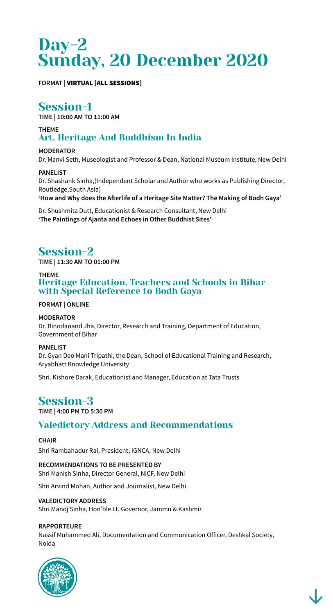# Day-2 Sunday, 20 December 2020

### **FORMAT |** VIRTUAL [ALL SESSIONS]

# Session-1

**TIME | 10:00 AM TO 11:00 AM** 

### **THEME**  Art, Heritage And Buddhism In India

**MODERATOR** Dr. Manvi Seth, Museologist and Professor & Dean, National Museum Institute, New Delhi

### **PANELIST**

Dr. Shashank Sinha,(Independent Scholar and Author who works as Publishing Director, Routledge,South Asia)

**'How and Why does the Afterlife of a Heritage Site Matter? The Making of Bodh Gaya'**

Dr. Shushmita Dutt, Educationist & Research Consultant, New Delhi **'The Paintings of Ajanta and Echoes in Other Buddhist Sites'**

# Session-2

**TIME | 11:30 AM TO 01:00 PM** 

### **THEME**  Heritage Education, Teachers and Schools in Bihar with Special Reference to Bodh Gaya

### **FORMAT | ONLINE**

### **MODERATOR**

Dr. Binodanand Jha, Director, Research and Training, Department of Education, Government of Bihar

**PANELIST**

Dr. Gyan Deo Mani Tripathi, the Dean, School of Educational Training and Research, Aryabhatt Knowledge University

Shri. Kishore Darak, Educationist and Manager, Education at Tata Trusts

# Session-3

**TIME | 4:00 PM TO 5:30 PM**

### Valedictory Address and Recommendations

### **CHAIR**

Shri Rambahadur Rai, President, IGNCA, New Delhi

**RECOMMENDATIONS TO BE PRESENTED BY** Shri Manish Sinha, Director General, NICF, New Delhi

Shri Arvind Mohan, Author and Journalist, New Delhi.

### **VALEDICTORY ADDRESS**

Shri Manoj Sinha, Hon'ble Lt. Governor, Jammu & Kashmir

### **RAPPORTEURE**

Nassif Muhammed Ali, Documentation and Communication Officer, Deshkal Society, Noida